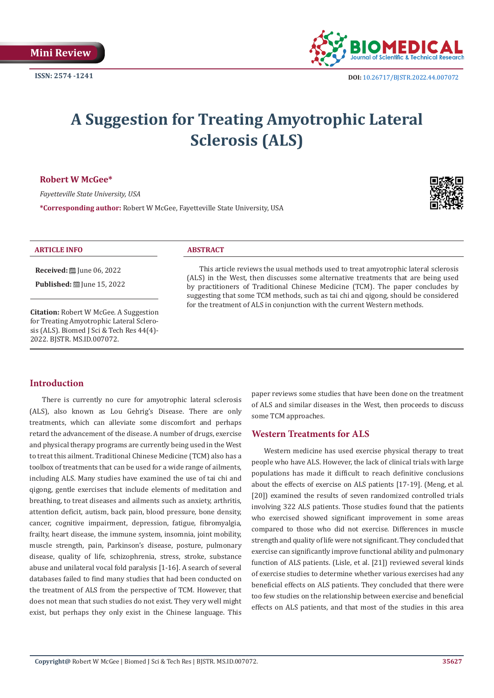

# **A Suggestion for Treating Amyotrophic Lateral Sclerosis (ALS)**

#### **Robert W McGee\***

*Fayetteville State University, USA*

**\*Corresponding author:** Robert W McGee, Fayetteville State University, USA



#### **ARTICLE INFO ABSTRACT**

**Received:** ■ June 06, 2022

**Published:** ■ June 15, 2022

**Citation:** Robert W McGee. A Suggestion for Treating Amyotrophic Lateral Sclerosis (ALS). Biomed J Sci & Tech Res 44(4)-2022. BJSTR. MS.ID.007072.

This article reviews the usual methods used to treat amyotrophic lateral sclerosis (ALS) in the West, then discusses some alternative treatments that are being used by practitioners of Traditional Chinese Medicine (TCM). The paper concludes by suggesting that some TCM methods, such as tai chi and qigong, should be considered for the treatment of ALS in conjunction with the current Western methods.

# **Introduction**

There is currently no cure for amyotrophic lateral sclerosis (ALS), also known as Lou Gehrig's Disease. There are only treatments, which can alleviate some discomfort and perhaps retard the advancement of the disease. A number of drugs, exercise and physical therapy programs are currently being used in the West to treat this ailment. Traditional Chinese Medicine (TCM) also has a toolbox of treatments that can be used for a wide range of ailments, including ALS. Many studies have examined the use of tai chi and qigong, gentle exercises that include elements of meditation and breathing, to treat diseases and ailments such as anxiety, arthritis, attention deficit, autism, back pain, blood pressure, bone density, cancer, cognitive impairment, depression, fatigue, fibromyalgia, frailty, heart disease, the immune system, insomnia, joint mobility, muscle strength, pain, Parkinson's disease, posture, pulmonary disease, quality of life, schizophrenia, stress, stroke, substance abuse and unilateral vocal fold paralysis [1-16]. A search of several databases failed to find many studies that had been conducted on the treatment of ALS from the perspective of TCM. However, that does not mean that such studies do not exist. They very well might exist, but perhaps they only exist in the Chinese language. This

paper reviews some studies that have been done on the treatment of ALS and similar diseases in the West, then proceeds to discuss some TCM approaches.

# **Western Treatments for ALS**

Western medicine has used exercise physical therapy to treat people who have ALS. However, the lack of clinical trials with large populations has made it difficult to reach definitive conclusions about the effects of exercise on ALS patients [17-19]. (Meng, et al. [20]) examined the results of seven randomized controlled trials involving 322 ALS patients. Those studies found that the patients who exercised showed significant improvement in some areas compared to those who did not exercise. Differences in muscle strength and quality of life were not significant. They concluded that exercise can significantly improve functional ability and pulmonary function of ALS patients. (Lisle, et al. [21]) reviewed several kinds of exercise studies to determine whether various exercises had any beneficial effects on ALS patients. They concluded that there were too few studies on the relationship between exercise and beneficial effects on ALS patients, and that most of the studies in this area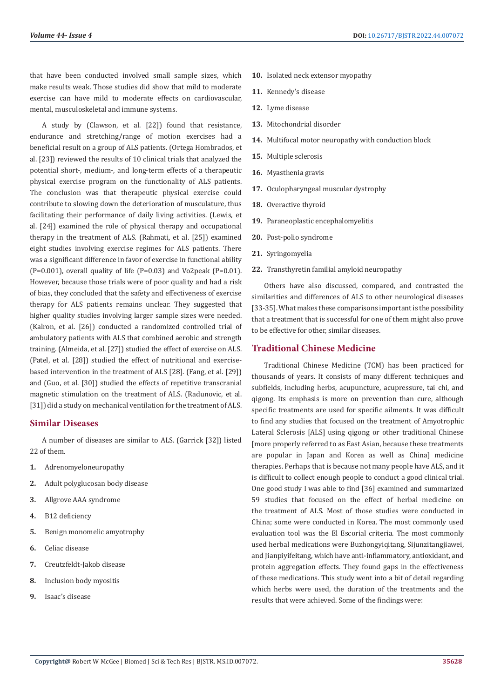that have been conducted involved small sample sizes, which make results weak. Those studies did show that mild to moderate exercise can have mild to moderate effects on cardiovascular, mental, musculoskeletal and immune systems.

A study by (Clawson, et al. [22]) found that resistance, endurance and stretching/range of motion exercises had a beneficial result on a group of ALS patients. (Ortega Hombrados, et al. [23]) reviewed the results of 10 clinical trials that analyzed the potential short-, medium-, and long-term effects of a therapeutic physical exercise program on the functionality of ALS patients. The conclusion was that therapeutic physical exercise could contribute to slowing down the deterioration of musculature, thus facilitating their performance of daily living activities. (Lewis, et al. [24]) examined the role of physical therapy and occupational therapy in the treatment of ALS. (Rahmati, et al. [25]) examined eight studies involving exercise regimes for ALS patients. There was a significant difference in favor of exercise in functional ability (P=0.001), overall quality of life (P=0.03) and Vo2peak (P=0.01). However, because those trials were of poor quality and had a risk of bias, they concluded that the safety and effectiveness of exercise therapy for ALS patients remains unclear. They suggested that higher quality studies involving larger sample sizes were needed. (Kalron, et al. [26]) conducted a randomized controlled trial of ambulatory patients with ALS that combined aerobic and strength training. (Almeida, et al. [27]) studied the effect of exercise on ALS. (Patel, et al. [28]) studied the effect of nutritional and exercisebased intervention in the treatment of ALS [28]. (Fang, et al. [29]) and (Guo, et al. [30]) studied the effects of repetitive transcranial magnetic stimulation on the treatment of ALS. (Radunovic, et al. [31]) did a study on mechanical ventilation for the treatment of ALS.

#### **Similar Diseases**

A number of diseases are similar to ALS. (Garrick [32]) listed 22 of them.

- **1.** Adrenomyeloneuropathy
- **2.** Adult polyglucosan body disease
- **3.** Allgrove AAA syndrome
- **4.** B12 deficiency
- **5.** Benign monomelic amyotrophy
- **6.** Celiac disease
- **7.** Creutzfeldt-Jakob disease
- **8.** Inclusion body myositis
- **9.** Isaac's disease
- **10.** Isolated neck extensor myopathy
- **11.** Kennedy's disease
- **12.** Lyme disease
- **13.** Mitochondrial disorder
- **14.** Multifocal motor neuropathy with conduction block
- **15.** Multiple sclerosis
- **16.** Myasthenia gravis
- **17.** Oculopharyngeal muscular dystrophy
- **18.** Overactive thyroid
- **19.** Paraneoplastic encephalomyelitis
- **20.** Post-polio syndrome
- **21.** Syringomyelia
- **22.** Transthyretin familial amyloid neuropathy

Others have also discussed, compared, and contrasted the similarities and differences of ALS to other neurological diseases [33-35]. What makes these comparisons important is the possibility that a treatment that is successful for one of them might also prove to be effective for other, similar diseases.

### **Traditional Chinese Medicine**

Traditional Chinese Medicine (TCM) has been practiced for thousands of years. It consists of many different techniques and subfields, including herbs, acupuncture, acupressure, tai chi, and qigong. Its emphasis is more on prevention than cure, although specific treatments are used for specific ailments. It was difficult to find any studies that focused on the treatment of Amyotrophic Lateral Sclerosis [ALS] using qigong or other traditional Chinese [more properly referred to as East Asian, because these treatments are popular in Japan and Korea as well as China] medicine therapies. Perhaps that is because not many people have ALS, and it is difficult to collect enough people to conduct a good clinical trial. One good study I was able to find [36] examined and summarized 59 studies that focused on the effect of herbal medicine on the treatment of ALS. Most of those studies were conducted in China; some were conducted in Korea. The most commonly used evaluation tool was the El Escorial criteria. The most commonly used herbal medications were Buzhongyiqitang, Sijunzitangjiawei, and Jianpiyifeitang, which have anti-inflammatory, antioxidant, and protein aggregation effects. They found gaps in the effectiveness of these medications. This study went into a bit of detail regarding which herbs were used, the duration of the treatments and the results that were achieved. Some of the findings were: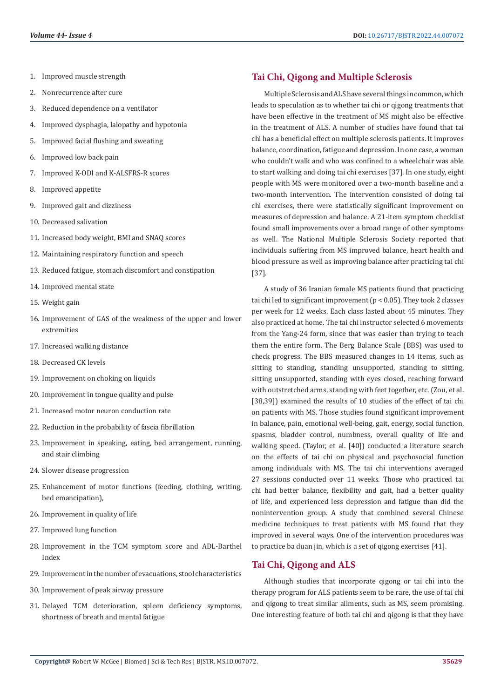- 1. Improved muscle strength
- 2. Nonrecurrence after cure
- 3. Reduced dependence on a ventilator
- 4. Improved dysphagia, lalopathy and hypotonia
- 5. Improved facial flushing and sweating
- 6. Improved low back pain
- 7. Improved K-ODI and K-ALSFRS-R scores
- 8. Improved appetite
- 9. Improved gait and dizziness
- 10. Decreased salivation
- 11. Increased body weight, BMI and SNAQ scores
- 12. Maintaining respiratory function and speech
- 13. Reduced fatigue, stomach discomfort and constipation
- 14. Improved mental state
- 15. Weight gain
- 16. Improvement of GAS of the weakness of the upper and lower extremities
- 17. Increased walking distance
- 18. Decreased CK levels
- 19. Improvement on choking on liquids
- 20. Improvement in tongue quality and pulse
- 21. Increased motor neuron conduction rate
- 22. Reduction in the probability of fascia fibrillation
- 23. Improvement in speaking, eating, bed arrangement, running, and stair climbing
- 24. Slower disease progression
- 25. Enhancement of motor functions (feeding, clothing, writing, bed emancipation),
- 26. Improvement in quality of life
- 27. Improved lung function
- 28. Improvement in the TCM symptom score and ADL-Barthel Index
- 29. Improvement in the number of evacuations, stool characteristics
- 30. Improvement of peak airway pressure
- 31. Delayed TCM deterioration, spleen deficiency symptoms, shortness of breath and mental fatigue

#### **Tai Chi, Qigong and Multiple Sclerosis**

Multiple Sclerosis and ALS have several things in common, which leads to speculation as to whether tai chi or qigong treatments that have been effective in the treatment of MS might also be effective in the treatment of ALS. A number of studies have found that tai chi has a beneficial effect on multiple sclerosis patients. It improves balance, coordination, fatigue and depression. In one case, a woman who couldn't walk and who was confined to a wheelchair was able to start walking and doing tai chi exercises [37]. In one study, eight people with MS were monitored over a two-month baseline and a two-month intervention. The intervention consisted of doing tai chi exercises, there were statistically significant improvement on measures of depression and balance. A 21-item symptom checklist found small improvements over a broad range of other symptoms as well. The National Multiple Sclerosis Society reported that individuals suffering from MS improved balance, heart health and blood pressure as well as improving balance after practicing tai chi [37].

A study of 36 Iranian female MS patients found that practicing tai chi led to significant improvement ( $p < 0.05$ ). They took 2 classes per week for 12 weeks. Each class lasted about 45 minutes. They also practiced at home. The tai chi instructor selected 6 movements from the Yang-24 form, since that was easier than trying to teach them the entire form. The Berg Balance Scale (BBS) was used to check progress. The BBS measured changes in 14 items, such as sitting to standing, standing unsupported, standing to sitting, sitting unsupported, standing with eyes closed, reaching forward with outstretched arms, standing with feet together, etc. (Zou, et al. [38,39]) examined the results of 10 studies of the effect of tai chi on patients with MS. Those studies found significant improvement in balance, pain, emotional well-being, gait, energy, social function, spasms, bladder control, numbness, overall quality of life and walking speed. (Taylor, et al. [40]) conducted a literature search on the effects of tai chi on physical and psychosocial function among individuals with MS. The tai chi interventions averaged 27 sessions conducted over 11 weeks. Those who practiced tai chi had better balance, flexibility and gait, had a better quality of life, and experienced less depression and fatigue than did the nonintervention group. A study that combined several Chinese medicine techniques to treat patients with MS found that they improved in several ways. One of the intervention procedures was to practice ba duan jin, which is a set of qigong exercises [41].

# **Tai Chi, Qigong and ALS**

Although studies that incorporate qigong or tai chi into the therapy program for ALS patients seem to be rare, the use of tai chi and qigong to treat similar ailments, such as MS, seem promising. One interesting feature of both tai chi and qigong is that they have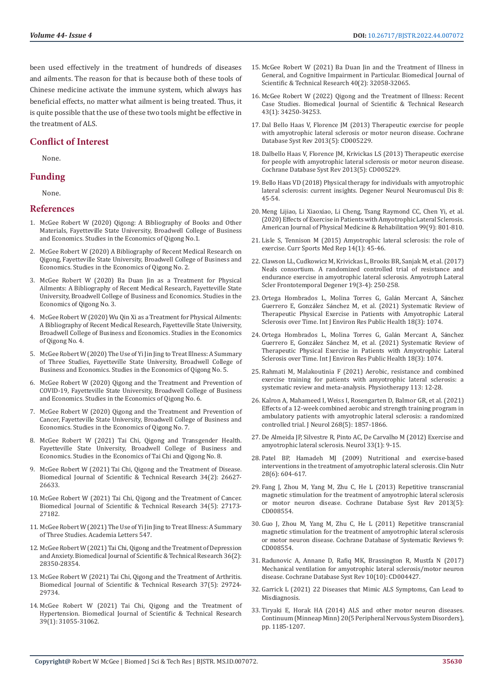been used effectively in the treatment of hundreds of diseases and ailments. The reason for that is because both of these tools of Chinese medicine activate the immune system, which always has beneficial effects, no matter what ailment is being treated. Thus, it is quite possible that the use of these two tools might be effective in the treatment of ALS.

#### **Conflict of Interest**

None.

### **Funding**

None.

#### **References**

- 1. [McGee Robert W \(2020\) Qigong: A Bibliography of Books and Other](https://papers.ssrn.com/sol3/papers.cfm?abstract_id=3685542)  [Materials, Fayetteville State University, Broadwell College of Business](https://papers.ssrn.com/sol3/papers.cfm?abstract_id=3685542)  [and Economics. Studies in the Economics of Qigong No.1.](https://papers.ssrn.com/sol3/papers.cfm?abstract_id=3685542)
- 2. [McGee Robert W \(2020\) A Bibliography of Recent Medical Research on](https://papers.ssrn.com/sol3/papers.cfm?abstract_id=3685561)  [Qigong, Fayetteville State University, Broadwell College of Business and](https://papers.ssrn.com/sol3/papers.cfm?abstract_id=3685561)  [Economics. Studies in the Economics of Qigong No. 2.](https://papers.ssrn.com/sol3/papers.cfm?abstract_id=3685561)
- 3. [McGee Robert W \(2020\) Ba Duan Jin as a Treatment for Physical](https://papers.ssrn.com/sol3/papers.cfm?abstract_id=3685571)  [Ailments: A Bibliography of Recent Medical Research, Fayetteville State](https://papers.ssrn.com/sol3/papers.cfm?abstract_id=3685571)  [University, Broadwell College of Business and Economics. Studies in the](https://papers.ssrn.com/sol3/papers.cfm?abstract_id=3685571)  [Economics of Qigong No. 3.](https://papers.ssrn.com/sol3/papers.cfm?abstract_id=3685571)
- 4. [McGee Robert W \(2020\) Wu Qin Xi as a Treatment for Physical Ailments:](https://papers.ssrn.com/sol3/papers.cfm?abstract_id=3685575)  [A Bibliography of Recent Medical Research, Fayetteville State University,](https://papers.ssrn.com/sol3/papers.cfm?abstract_id=3685575)  [Broadwell College of Business and Economics. Studies in the Economics](https://papers.ssrn.com/sol3/papers.cfm?abstract_id=3685575)  [of Qigong No. 4.](https://papers.ssrn.com/sol3/papers.cfm?abstract_id=3685575)
- 5. [McGee Robert W \(2020\) The Use of Yi Jin Jing to Treat Illness: A Summary](https://papers.ssrn.com/sol3/papers.cfm?abstract_id=3685577)  [of Three Studies, Fayetteville State University, Broadwell College of](https://papers.ssrn.com/sol3/papers.cfm?abstract_id=3685577)  [Business and Economics. Studies in the Economics of Qigong No. 5.](https://papers.ssrn.com/sol3/papers.cfm?abstract_id=3685577)
- 6. [McGee Robert W \(2020\) Qigong and the Treatment and Prevention of](https://papers.ssrn.com/sol3/papers.cfm?abstract_id=3686381)  [COVID-19, Fayetteville State University, Broadwell College of Business](https://papers.ssrn.com/sol3/papers.cfm?abstract_id=3686381)  [and Economics. Studies in the Economics of Qigong No. 6.](https://papers.ssrn.com/sol3/papers.cfm?abstract_id=3686381)
- 7. [McGee Robert W \(2020\) Qigong and the Treatment and Prevention of](https://papers.ssrn.com/sol3/papers.cfm?abstract_id=3692125)  [Cancer, Fayetteville State University, Broadwell College of Business and](https://papers.ssrn.com/sol3/papers.cfm?abstract_id=3692125)  [Economics. Studies in the Economics of Qigong No. 7.](https://papers.ssrn.com/sol3/papers.cfm?abstract_id=3692125)
- 8. [McGee Robert W \(2021\) Tai Chi, Qigong and Transgender Health.](https://www.researchgate.net/publication/350923792_Tai_Chi_Qigong_and_Transgender_Health)  [Fayetteville State University, Broadwell College of Business and](https://www.researchgate.net/publication/350923792_Tai_Chi_Qigong_and_Transgender_Health)  [Economics. Studies in the Economics of Tai Chi and Qigong No. 8.](https://www.researchgate.net/publication/350923792_Tai_Chi_Qigong_and_Transgender_Health)
- 9. [McGee Robert W \(2021\) Tai Chi, Qigong and the Treatment of Disease.](https://biomedres.us/pdfs/BJSTR.MS.ID.005531.pdf)  [Biomedical Journal of Scientific & Technical Research 34\(2\): 26627-](https://biomedres.us/pdfs/BJSTR.MS.ID.005531.pdf) [26633.](https://biomedres.us/pdfs/BJSTR.MS.ID.005531.pdf)
- 10. [McGee Robert W \(2021\) Tai Chi, Qigong and the Treatment of Cancer.](https://biomedres.us/pdfs/BJSTR.MS.ID.005621.pdf)  [Biomedical Journal of Scientific & Technical Research 34\(5\): 27173-](https://biomedres.us/pdfs/BJSTR.MS.ID.005621.pdf) [27182.](https://biomedres.us/pdfs/BJSTR.MS.ID.005621.pdf)
- 11. [McGee Robert W \(2021\) The Use of Yi Jin Jing to Treat Illness: A Summary](https://papers.ssrn.com/sol3/papers.cfm?abstract_id=3685577)  [of Three Studies. Academia Letters 547.](https://papers.ssrn.com/sol3/papers.cfm?abstract_id=3685577)
- 12. [McGee Robert W \(2021\) Tai Chi, Qigong and the Treatment of Depression](https://biomedres.us/pdfs/BJSTR.MS.ID.005823.pdf)  [and Anxiety. Biomedical Journal of Scientific & Technical Research 36\(2\):](https://biomedres.us/pdfs/BJSTR.MS.ID.005823.pdf)  [28350-28354.](https://biomedres.us/pdfs/BJSTR.MS.ID.005823.pdf)
- 13. [McGee Robert W \(2021\) Tai Chi, Qigong and the Treatment of Arthritis.](https://biomedres.us/pdfs/BJSTR.MS.ID.006051.pdf)  [Biomedical Journal of Scientific & Technical Research 37\(5\): 29724-](https://biomedres.us/pdfs/BJSTR.MS.ID.006051.pdf) [29734.](https://biomedres.us/pdfs/BJSTR.MS.ID.006051.pdf)
- 14. [McGee Robert W \(2021\) Tai Chi, Qigong and the Treatment of](https://biomedres.us/pdfs/BJSTR.MS.ID.006256.pdf)  [Hypertension. Biomedical Journal of Scientific & Technical Research](https://biomedres.us/pdfs/BJSTR.MS.ID.006256.pdf)  [39\(1\): 31055-31062.](https://biomedres.us/pdfs/BJSTR.MS.ID.006256.pdf)
- 15. [McGee Robert W \(2021\) Ba Duan Jin and the Treatment of Illness in](https://biomedres.us/pdfs/BJSTR.MS.ID.006424.pdf) [General, and Cognitive Impairment in Particular. Biomedical Journal of](https://biomedres.us/pdfs/BJSTR.MS.ID.006424.pdf) [Scientific & Technical Research 40\(2\): 32058-32065.](https://biomedres.us/pdfs/BJSTR.MS.ID.006424.pdf)
- 16. [McGee Robert W \(2022\) Qigong and the Treatment of Illness: Recent](https://biomedres.us/pdfs/BJSTR.MS.ID.006852.pdf) [Case Studies. Biomedical Journal of Scientific & Technical Research](https://biomedres.us/pdfs/BJSTR.MS.ID.006852.pdf) [43\(1\): 34250-34253.](https://biomedres.us/pdfs/BJSTR.MS.ID.006852.pdf)
- 17. [Dal Bello Haas V, Florence JM \(2013\) Therapeutic exercise for people](https://pubmed.ncbi.nlm.nih.gov/23728653/) [with amyotrophic lateral sclerosis or motor neuron disease. Cochrane](https://pubmed.ncbi.nlm.nih.gov/23728653/) [Database Syst Rev 2013\(5\): CD005229.](https://pubmed.ncbi.nlm.nih.gov/23728653/)
- 18. [Dalbello Haas V, Florence JM, Krivickas LS \(2013\) Therapeutic exercise](https://pubmed.ncbi.nlm.nih.gov/23728653/) [for people with amyotrophic lateral sclerosis or motor neuron disease.](https://pubmed.ncbi.nlm.nih.gov/23728653/) [Cochrane Database Syst Rev 2013\(5\): CD005229.](https://pubmed.ncbi.nlm.nih.gov/23728653/)
- 19. [Bello Haas VD \(2018\) Physical therapy for individuals with amyotrophic](https://pubmed.ncbi.nlm.nih.gov/30890895/) [lateral sclerosis: current insights. Degener Neurol Neuromuscul Dis 8:](https://pubmed.ncbi.nlm.nih.gov/30890895/) [45-54.](https://pubmed.ncbi.nlm.nih.gov/30890895/)
- 20. [Meng Lijiao, Li Xiaoxiao, Li Cheng, Tsang Raymond CC, Chen Yi, et al.](https://pubmed.ncbi.nlm.nih.gov/32452880/) [\(2020\) Effects of Exercise in Patients with Amyotrophic Lateral Sclerosis.](https://pubmed.ncbi.nlm.nih.gov/32452880/) [American Journal of Physical Medicine & Rehabilitation 99\(9\): 801-810.](https://pubmed.ncbi.nlm.nih.gov/32452880/)
- 21. [Lisle S, Tennison M \(2015\) Amyotrophic lateral sclerosis: the role of](https://pubmed.ncbi.nlm.nih.gov/25574882/) [exercise. Curr Sports Med Rep 14\(1\): 45-46.](https://pubmed.ncbi.nlm.nih.gov/25574882/)
- 22. [Clawson LL, Cudkowicz M, Krivickas L, Brooks BR, Sanjak M, et al. \(2017\)](https://pubmed.ncbi.nlm.nih.gov/29191052/) [Neals consortium. A randomized controlled trial of resistance and](https://pubmed.ncbi.nlm.nih.gov/29191052/) [endurance exercise in amyotrophic lateral sclerosis. Amyotroph Lateral](https://pubmed.ncbi.nlm.nih.gov/29191052/) [Scler Frontotemporal Degener 19\(3-4\): 250-258.](https://pubmed.ncbi.nlm.nih.gov/29191052/)
- 23. [Ortega Hombrados L, Molina Torres G, Gal](https://pubmed.ncbi.nlm.nih.gov/33530383/)án Mercant A, Sánchez Guerrero E, González Sá[nchez M, et al. \(2021\) Systematic Review of](https://pubmed.ncbi.nlm.nih.gov/33530383/) [Therapeutic Physical Exercise in Patients with Amyotrophic Lateral](https://pubmed.ncbi.nlm.nih.gov/33530383/) [Sclerosis over Time. Int J Environ Res Public Health 18\(3\): 1074.](https://pubmed.ncbi.nlm.nih.gov/33530383/)
- 24. [Ortega Hombrados L, Molina Torres G, Gal](https://pubmed.ncbi.nlm.nih.gov/33530383/)án Mercant A, Sánchez Guerrero E, González Sá[nchez M, et al. \(2021\) Systematic Review of](https://pubmed.ncbi.nlm.nih.gov/33530383/) [Therapeutic Physical Exercise in Patients with Amyotrophic Lateral](https://pubmed.ncbi.nlm.nih.gov/33530383/) [Sclerosis over Time. Int J Environ Res Public Health 18\(3\): 1074.](https://pubmed.ncbi.nlm.nih.gov/33530383/)
- 25. [Rahmati M, Malakoutinia F \(2021\) Aerobic, resistance and combined](https://www.sciencedirect.com/science/article/abs/pii/S0031940621000493) [exercise training for patients with amyotrophic lateral sclerosis: a](https://www.sciencedirect.com/science/article/abs/pii/S0031940621000493) [systematic review and meta-analysis. Physiotherapy 113: 12-28.](https://www.sciencedirect.com/science/article/abs/pii/S0031940621000493)
- 26. [Kalron A, Mahameed I, Weiss I, Rosengarten D, Balmor GR, et al. \(2021\)](https://pubmed.ncbi.nlm.nih.gov/33388929/) [Effects of a 12-week combined aerobic and strength training program in](https://pubmed.ncbi.nlm.nih.gov/33388929/) [ambulatory patients with amyotrophic lateral sclerosis: a randomized](https://pubmed.ncbi.nlm.nih.gov/33388929/) [controlled trial. J Neurol 268\(5\): 1857-1866.](https://pubmed.ncbi.nlm.nih.gov/33388929/)
- 27. [De Almeida JP, Silvestre R, Pinto AC, De Carvalho M \(2012\) Exercise and](https://link.springer.com/article/10.1007/s10072-011-0921-9) [amyotrophic lateral sclerosis. Neurol 33\(1\): 9-15.](https://link.springer.com/article/10.1007/s10072-011-0921-9)
- 28. [Patel BP, Hamadeh MJ \(2009\) Nutritional and exercise-based](https://pubmed.ncbi.nlm.nih.gov/19782443/) [interventions in the treatment of amyotrophic lateral sclerosis. Clin Nutr](https://pubmed.ncbi.nlm.nih.gov/19782443/) [28\(6\): 604-617.](https://pubmed.ncbi.nlm.nih.gov/19782443/)
- 29. [Fang J, Zhou M, Yang M, Zhu C, He L \(2013\) Repetitive transcranial](https://pubmed.ncbi.nlm.nih.gov/23728676/) [magnetic stimulation for the treatment of amyotrophic lateral sclerosis](https://pubmed.ncbi.nlm.nih.gov/23728676/) [or motor neuron disease. Cochrane Database Syst Rev 2013\(5\):](https://pubmed.ncbi.nlm.nih.gov/23728676/) [CD008554.](https://pubmed.ncbi.nlm.nih.gov/23728676/)
- 30. [Guo J, Zhou M, Yang M, Zhu C, He L \(2011\) Repetitive transcranial](https://pubmed.ncbi.nlm.nih.gov/21901724/) [magnetic stimulation for the treatment of amyotrophic lateral sclerosis](https://pubmed.ncbi.nlm.nih.gov/21901724/) [or motor neuron disease. Cochrane Database of Systematic Reviews 9:](https://pubmed.ncbi.nlm.nih.gov/21901724/) [CD008554.](https://pubmed.ncbi.nlm.nih.gov/21901724/)
- 31. [Radunovic A, Annane D, Rafiq MK, Brassington R, Mustfa N \(2017\)](https://pubmed.ncbi.nlm.nih.gov/28982219/) [Mechanical ventilation for amyotrophic lateral sclerosis/motor neuron](https://pubmed.ncbi.nlm.nih.gov/28982219/) [disease. Cochrane Database Syst Rev 10\(10\): CD004427.](https://pubmed.ncbi.nlm.nih.gov/28982219/)
- 32. [Garrick L \(2021\) 22 Diseases that Mimic ALS Symptoms, Can Lead to](https://scarysymptoms.com/2017/09/22-diseases-mimic-als-symptoms-can-lead-misdiagnosis/) [Misdiagnosis.](https://scarysymptoms.com/2017/09/22-diseases-mimic-als-symptoms-can-lead-misdiagnosis/)
- 33. [Tiryaki E, Horak HA \(2014\) ALS and other motor neuron diseases.](https://pubmed.ncbi.nlm.nih.gov/25299277/) [Continuum \(Minneap Minn\) 20\(5 Peripheral Nervous System Disorders\),](https://pubmed.ncbi.nlm.nih.gov/25299277/) [pp. 1185-1207.](https://pubmed.ncbi.nlm.nih.gov/25299277/)